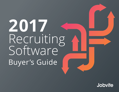# **2017** Recruiting Software Buyer's Guide

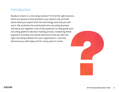## Introduction

Ready to invest in a recruiting solution? To find the right solution, there are several critical questions you need to ask yourself about what you expect from the technology and how you will use it. We at Jobvite live and breathe the recruiting business and we've put together a list of key questions to help guide your recruiting platform decision-making process. Answering these questions honestly and clearly will ensure that you pick the right recruiting software for your organization—one that will serve you well today and for many years to come.

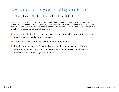## **1.** How easy is it for your recruiting team to use?

#### O Very Easy O OK O Difficult O Very Difficult

According to Capterra, recruiting software can improve your hiring process and efficiency by 94%. Ease of use is critically important because it determines if your recruiters will actually use the software. Your team doesn't have time to figure out clunky features or processes that slow them down. To maximize adoption across your organization, choose a recruiting solution that has:

- ◆ A customizable dashboard that surfaces the most important information that your recruiters need to take immediate action on
- $\blacktriangleright$  A clean interface that makes it simple for anyone to learn
- ◗ Built in smart scheduling functionality and email templates across different calendars (Outlook, Gmail, and more) so that your recruiters don't have to work in two different systems to get the job done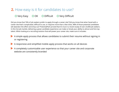## **2.** How easy is it for candidates to use?

### O Very Easy O OK O Difficult O Very Difficult

Did you know that 76% of job seekers prefer to apply through a career site? Did you know that when faced with a career site that's complicated, difficult to use, or requires more than a few clicks, 48% of those potential candidates will abandon the effort and drop out? PotentialPark proved that it's true in a recent study of over 23,000 job seekers. In this hot job market, delivering a great candidate experience can make or break your ability to attract and hire top talent. When looking at a recruiting solution that will power your career site, make sure it includes:

- ◗ A simple apply process that allows candidates to submit their resume without signing in or registering
- ◗ A responsive and simplified mobile apply process that works on all devices

◗ A completely customizable user experience so that your career site and corporate website are consistently branded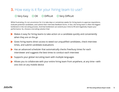## **3.** How easy is it for your hiring team to use?

#### O Very Easy O OK O Difficult O Very Difficult

While frustrating, it's not uncommon for it to take days or sometimes weeks for hiring teams to approve requisitions, evaluate potential candidates, and submit their interview feedback forms. In fact, the hiring team is often the biggest bottleneck in the recruiting process. And that bottleneck can extend your time-to-fill and negatively impact your performance. So, choose a recruiting solution that:

- ◗ Makes it easy for hiring teams to take action on a candidate quickly and conveniently when they are on the go
- ◗ Gives hiring teams direct access to weed out unqualified candidates, check interview times, and submit candidate evaluations
- **▶ Has an advanced scheduler that automatically checks free/busy times for each** interviewer and suggests the best times to conduct each interview
- ◗ Supports your global recruiting team with multiple languages
- ◗ Allows you to collaborate with your entire hiring team from anywhere, at any time—with one click on any mobile device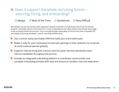## **4.** Does it support the whole recruiting funnel sourcing, hiring, and onboarding?

#### **O** Always **O** Most of the Time **O** Sometimes **O** Very Difficult

Recruiting is not just one activity. Each requisition requires hundreds of small actions that move the process forward—ultimately toward a successful hire. A truly comprehensive recruiting solution should take every stage of the recruiting funnel into account—from sourcing through onboarding. It's much more than a standard ATS and simple job posting templates. Look for recruiting software that:

◆ Has a central, easily searchable CRM that holds your entire talent pool

- Makes it easy for your employees to share job openings in their networks via hundreds of social media properties globally
- ◗ Supports internal hiring with a secure internal career site that seamlessly tracks internal candidates throughout the process
- ◗ Includes an integrated onboarding platform to coordinate, communicate, and complete onboarding activities with ease and ensure an excellent new hire experience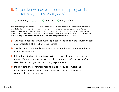## **5.** Do you know how your recruiting program is performing against your goals?

### O Very Easy O OK O Difficult O Very Difficult

With a recruiting platform that supports the whole funnel, you have access to a tremendous amount of data that will give you visibility and insight into how your recruiting program is performing. Advanced analytics allow you to surface insights and report on goals with ease. And those insights enables you to make more informed decisions about what's working and what isn't. Whatever metrics you use to assess your recruiting performance, make sure that the recruiting platform you choose has:

- ◗ Analytics embedded throughout the application, including in the requisition page and candidate profile to showcase progress
- ◗ Standard and customizable reports that show metrics such as time-to-hire and career website traffic
- ◗ Integration with big data and business intelligence software so that you can merge different data sets (such as recruiting data with performance data) to slice, dice, and analyze them according to your needs
- ◗ Industry data and benchmark reports that allow you to compare the performance of your recruiting program against that of companies of comparable size and industry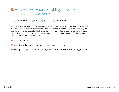## **6.** How well will your recruiting software partner support you?

#### O Very Well O OK O Poor O Very Poor

Even if you have the most intuitive and well-crafted technology available, you will inevitably need help at some point—whether you experience a glitch in the system or need a deeper level of training on a particular feature or capability. Look for vendors with award-winning customer service teams that have high NPS scores—between 8-10. The software vendor you choose should offer the following customer service and support services:

24/5 availability

- ◗ A dedicated account manager for premier customers
- Multiple support channels: email, chat, phone, and community engagement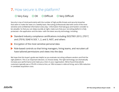## **7.** How secure is the platform?

### O Very Easy O OK O Difficult O Very Difficult

Security is top of mind particularly with the number of high profile threats and security breaches that seem to make the news on a weekly basis. Recruiting professionals deal with some of the most sensitive and confidential information every day—information that bad guys and hackers consider to be valuable. So that you can sleep soundly at night, make sure that your recruiting platform is fully protected—the application and the data—with the latest security technology, including:

- ◗ Standard industry compliance certifications including ISO27001:2013, 27017, and 27018, SSAE16 SOC 1, 2, and 3, NIST, and others
- ◗ Encryption of the most sensitive personal data
- ◗ Role-based controls so that hiring managers, hiring teams, and recruiters all have tailored permissions and views into the data

We hope that this buyer's guide was helpful as you evaluate recruiting software vendors and find the right platform. This is an important decision, so choose wisely. The right technology can dramatically increase your performance and make you a hero in your organization. We've found that Jobvite customers typically see a 27% lift in time-to-hire, an 18% increase in referral hiring, and a 30% reduction in candidate acquisition costs.